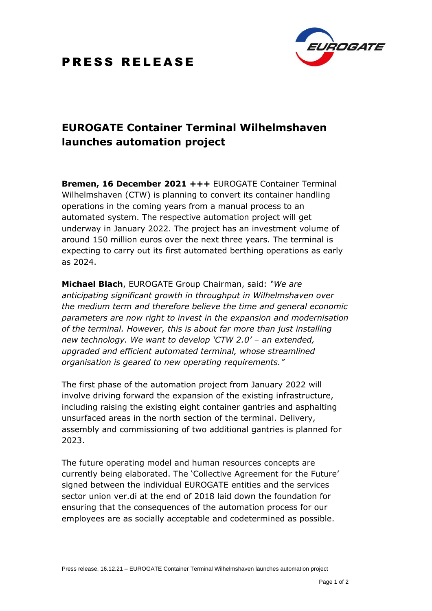

## **EUROGATE Container Terminal Wilhelmshaven launches automation project**

**Bremen, 16 December 2021 +++** EUROGATE Container Terminal Wilhelmshaven (CTW) is planning to convert its container handling operations in the coming years from a manual process to an automated system. The respective automation project will get underway in January 2022. The project has an investment volume of around 150 million euros over the next three years. The terminal is expecting to carry out its first automated berthing operations as early as 2024.

**Michael Blach**, EUROGATE Group Chairman, said: *"We are anticipating significant growth in throughput in Wilhelmshaven over the medium term and therefore believe the time and general economic parameters are now right to invest in the expansion and modernisation of the terminal. However, this is about far more than just installing new technology. We want to develop 'CTW 2.0' – an extended, upgraded and efficient automated terminal, whose streamlined organisation is geared to new operating requirements."*

The first phase of the automation project from January 2022 will involve driving forward the expansion of the existing infrastructure, including raising the existing eight container gantries and asphalting unsurfaced areas in the north section of the terminal. Delivery, assembly and commissioning of two additional gantries is planned for 2023.

The future operating model and human resources concepts are currently being elaborated. The 'Collective Agreement for the Future' signed between the individual EUROGATE entities and the services sector union ver.di at the end of 2018 laid down the foundation for ensuring that the consequences of the automation process for our employees are as socially acceptable and codetermined as possible.